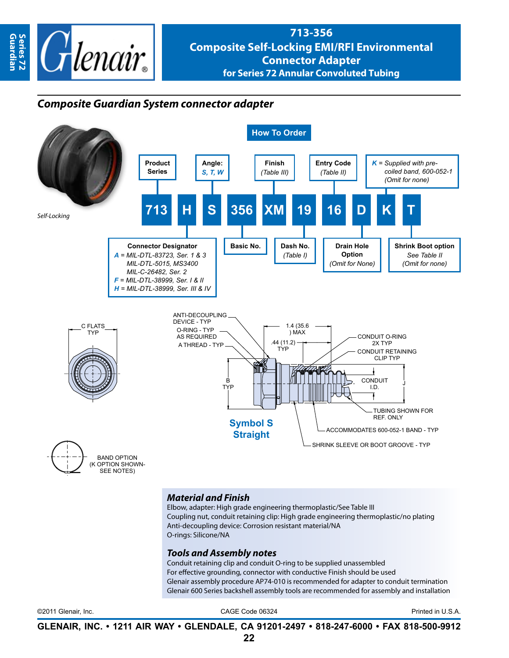

**Guardian**

Guardian

# **713-356 Composite Self-Locking EMI/RFI Environmental Connector Adapter for Series 72 Annular Convoluted Tubing**

# *Composite Guardian System connector adapter*



### *Material and Finish*

Elbow, adapter: High grade engineering thermoplastic/See Table III Coupling nut, conduit retaining clip: High grade engineering thermoplastic/no plating Anti-decoupling device: Corrosion resistant material/NA O-rings: Silicone/NA

#### *Tools and Assembly notes*

Conduit retaining clip and conduit O-ring to be supplied unassembled For effective grounding, connector with conductive Finish should be used Glenair assembly procedure AP74-010 is recommended for adapter to conduit termination Glenair 600 Series backshell assembly tools are recommended for assembly and installation

©2011 Glenair, Inc. CAGE Code 06324 Printed in U.S.A.